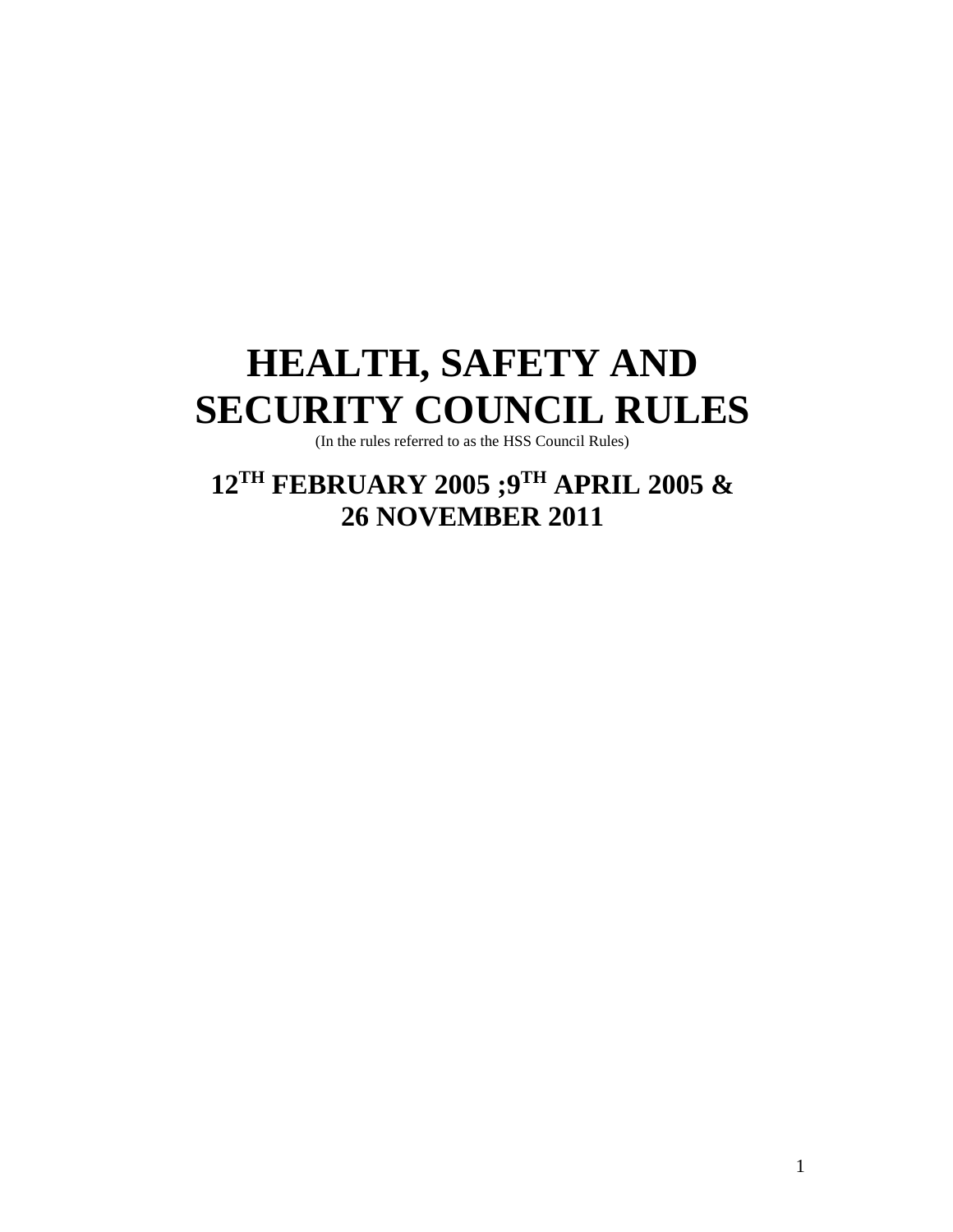# **HEALTH, SAFETY AND SECURITY COUNCIL RULES**

(In the rules referred to as the HSS Council Rules)

**12TH FEBRUARY 2005 ;9TH APRIL 2005 & 26 NOVEMBER 2011**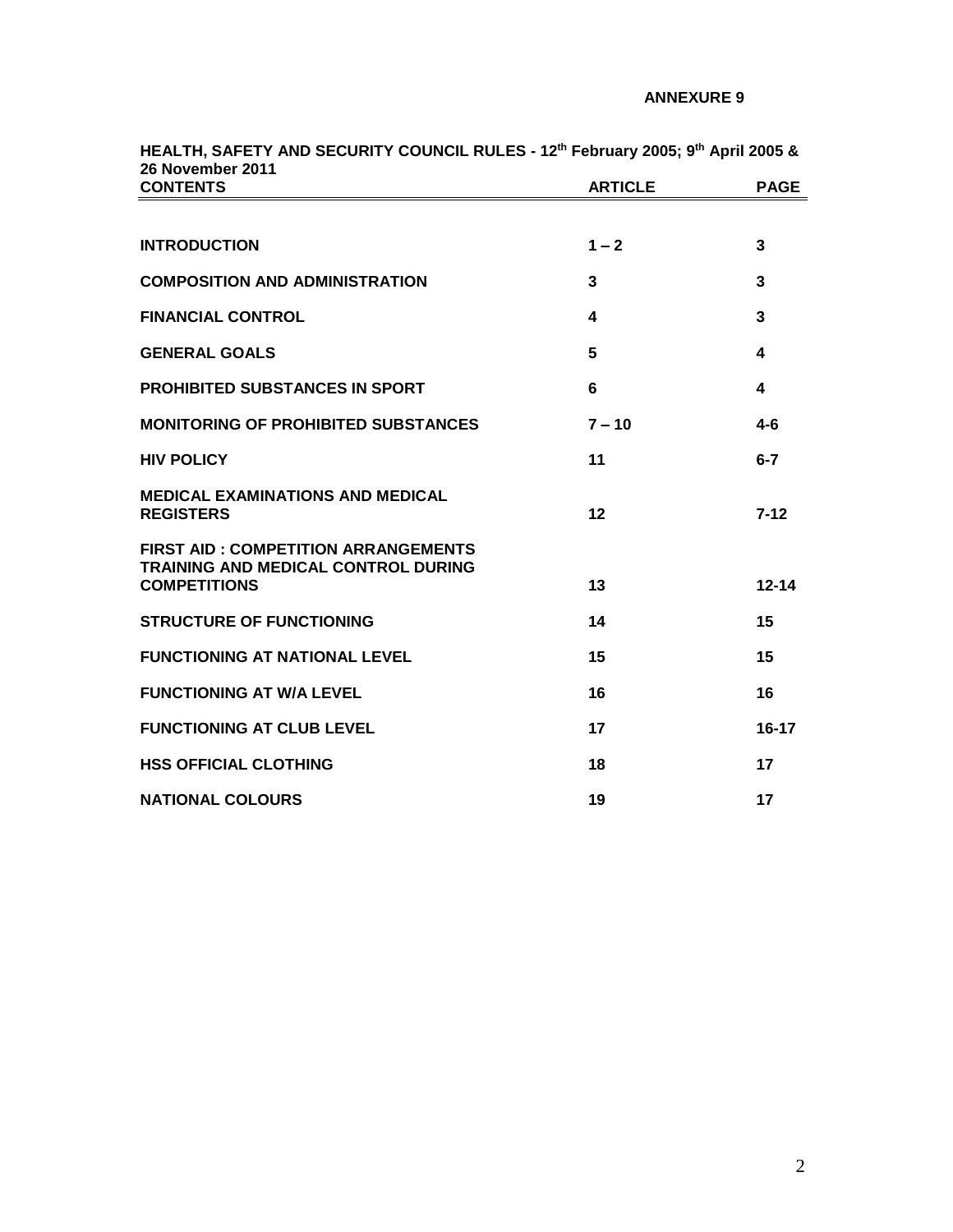| ZO NOVEIIIDEI ZUTT<br><b>CONTENTS</b>                                                                           | <b>ARTICLE</b> | <b>PAGE</b>             |
|-----------------------------------------------------------------------------------------------------------------|----------------|-------------------------|
|                                                                                                                 |                |                         |
| <b>INTRODUCTION</b>                                                                                             | $1 - 2$        | $\overline{3}$          |
| <b>COMPOSITION AND ADMINISTRATION</b>                                                                           | 3              | 3                       |
| <b>FINANCIAL CONTROL</b>                                                                                        | 4              | $\overline{\mathbf{3}}$ |
| <b>GENERAL GOALS</b>                                                                                            | 5              | $\blacktriangle$        |
| <b>PROHIBITED SUBSTANCES IN SPORT</b>                                                                           | 6              | $\boldsymbol{4}$        |
| <b>MONITORING OF PROHIBITED SUBSTANCES</b>                                                                      | $7 - 10$       | $4 - 6$                 |
| <b>HIV POLICY</b>                                                                                               | 11             | $6 - 7$                 |
| <b>MEDICAL EXAMINATIONS AND MEDICAL</b><br><b>REGISTERS</b>                                                     | 12             | $7 - 12$                |
| <b>FIRST AID: COMPETITION ARRANGEMENTS</b><br><b>TRAINING AND MEDICAL CONTROL DURING</b><br><b>COMPETITIONS</b> | 13             | $12 - 14$               |
| <b>STRUCTURE OF FUNCTIONING</b>                                                                                 | 14             | 15                      |
| <b>FUNCTIONING AT NATIONAL LEVEL</b>                                                                            | 15             | 15                      |
| <b>FUNCTIONING AT W/A LEVEL</b>                                                                                 | 16             | 16                      |
| <b>FUNCTIONING AT CLUB LEVEL</b>                                                                                | 17             | $16 - 17$               |
| <b>HSS OFFICIAL CLOTHING</b>                                                                                    | 18             | 17                      |
| <b>NATIONAL COLOURS</b>                                                                                         | 19             | 17                      |

**HEALTH, SAFETY AND SECURITY COUNCIL RULES - 12th February 2005; 9 th April 2005 & 26 November 2011**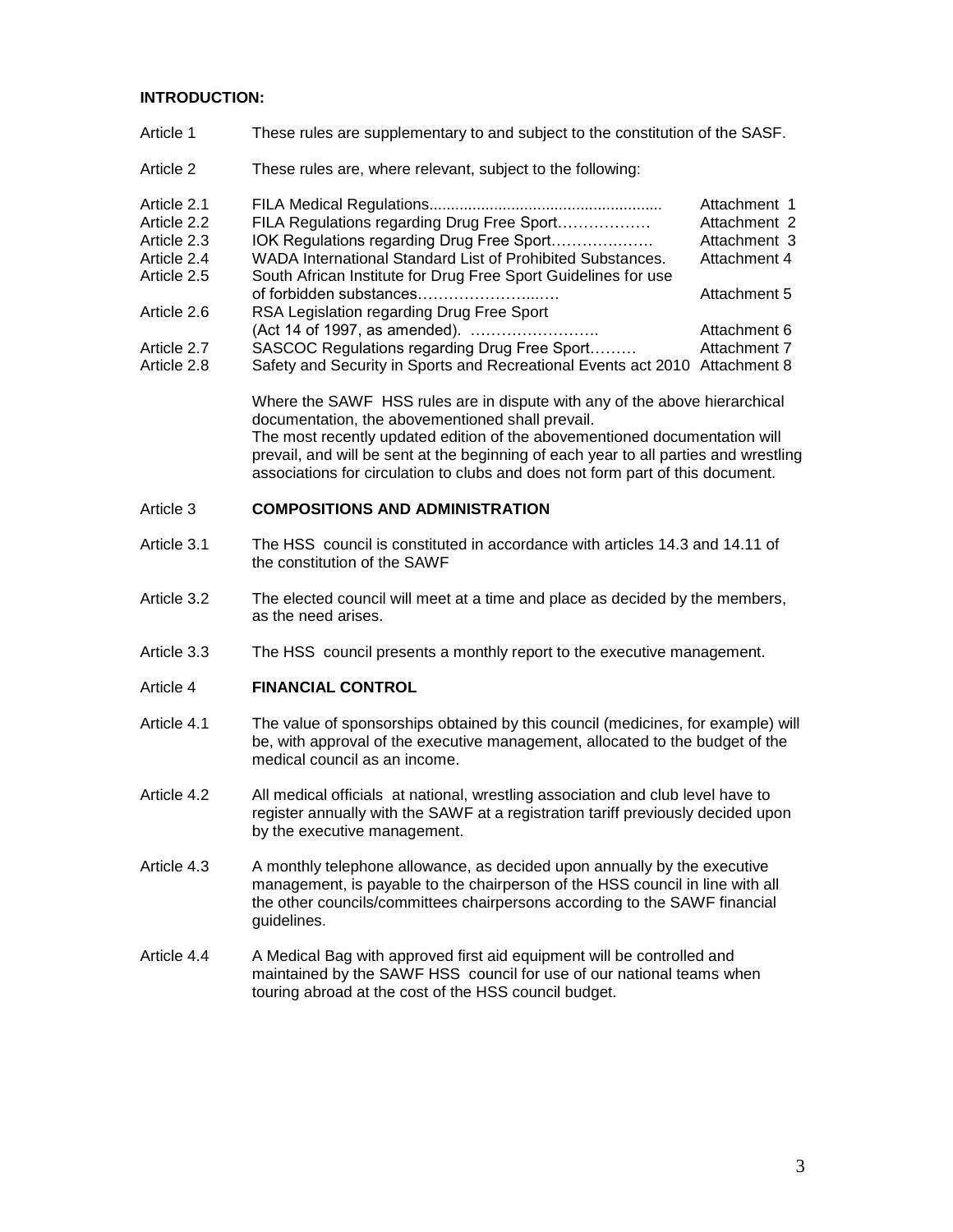## **INTRODUCTION:**

- Article 1 These rules are supplementary to and subject to the constitution of the SASF.
- Article 2 These rules are, where relevant, subject to the following:

| Article 2.1 |                                                                             | Attachment 1 |
|-------------|-----------------------------------------------------------------------------|--------------|
| Article 2.2 | FILA Regulations regarding Drug Free Sport                                  | Attachment 2 |
| Article 2.3 | IOK Regulations regarding Drug Free Sport                                   | Attachment 3 |
| Article 2.4 | WADA International Standard List of Prohibited Substances.                  | Attachment 4 |
| Article 2.5 | South African Institute for Drug Free Sport Guidelines for use              |              |
|             | of forbidden substances                                                     | Attachment 5 |
| Article 2.6 | RSA Legislation regarding Drug Free Sport                                   |              |
|             | (Act 14 of 1997, as amended).                                               | Attachment 6 |
| Article 2.7 | SASCOC Regulations regarding Drug Free Sport                                | Attachment 7 |
| Article 2.8 | Safety and Security in Sports and Recreational Events act 2010 Attachment 8 |              |

Where the SAWF HSS rules are in dispute with any of the above hierarchical documentation, the abovementioned shall prevail. The most recently updated edition of the abovementioned documentation will prevail, and will be sent at the beginning of each year to all parties and wrestling associations for circulation to clubs and does not form part of this document.

#### Article 3 **COMPOSITIONS AND ADMINISTRATION**

- Article 3.1 The HSS council is constituted in accordance with articles 14.3 and 14.11 of the constitution of the SAWF
- Article 3.2 The elected council will meet at a time and place as decided by the members, as the need arises.
- Article 3.3 The HSS council presents a monthly report to the executive management.
- Article 4 **FINANCIAL CONTROL**
- Article 4.1 The value of sponsorships obtained by this council (medicines, for example) will be, with approval of the executive management, allocated to the budget of the medical council as an income.
- Article 4.2 All medical officials at national, wrestling association and club level have to register annually with the SAWF at a registration tariff previously decided upon by the executive management.
- Article 4.3 A monthly telephone allowance, as decided upon annually by the executive management, is payable to the chairperson of the HSS council in line with all the other councils/committees chairpersons according to the SAWF financial guidelines.
- Article 4.4 A Medical Bag with approved first aid equipment will be controlled and maintained by the SAWF HSS council for use of our national teams when touring abroad at the cost of the HSS council budget.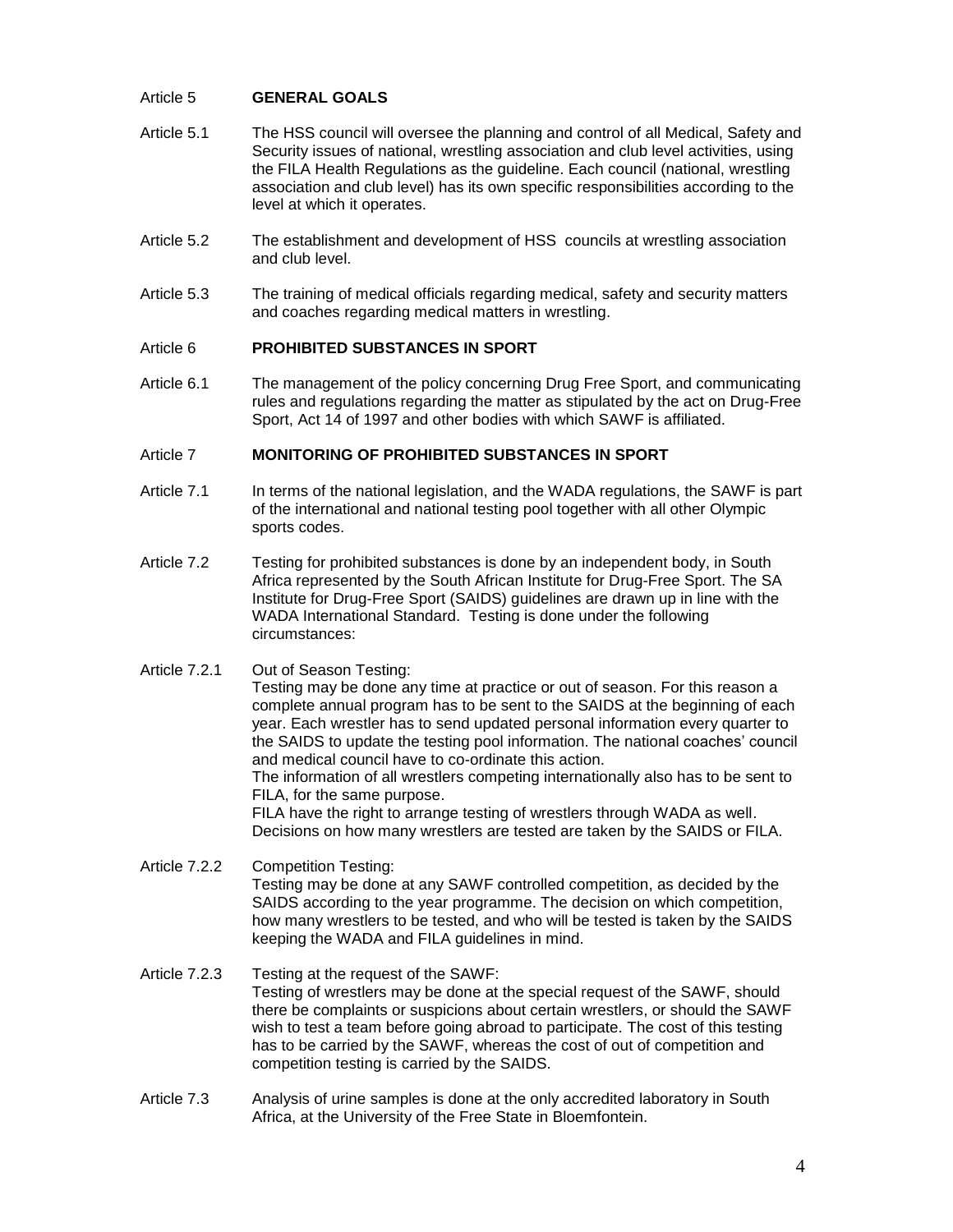#### Article 5 **GENERAL GOALS**

- Article 5.1 The HSS council will oversee the planning and control of all Medical, Safety and Security issues of national, wrestling association and club level activities, using the FILA Health Regulations as the guideline. Each council (national, wrestling association and club level) has its own specific responsibilities according to the level at which it operates.
- Article 5.2 The establishment and development of HSS councils at wrestling association and club level.
- Article 5.3 The training of medical officials regarding medical, safety and security matters and coaches regarding medical matters in wrestling.

#### Article 6 **PROHIBITED SUBSTANCES IN SPORT**

Article 6.1 The management of the policy concerning Drug Free Sport, and communicating rules and regulations regarding the matter as stipulated by the act on Drug-Free Sport, Act 14 of 1997 and other bodies with which SAWF is affiliated.

#### Article 7 **MONITORING OF PROHIBITED SUBSTANCES IN SPORT**

- Article 7.1 In terms of the national legislation, and the WADA regulations, the SAWF is part of the international and national testing pool together with all other Olympic sports codes.
- Article 7.2 Testing for prohibited substances is done by an independent body, in South Africa represented by the South African Institute for Drug-Free Sport. The SA Institute for Drug-Free Sport (SAIDS) guidelines are drawn up in line with the WADA International Standard. Testing is done under the following circumstances:
- Article 7.2.1 Out of Season Testing:

Testing may be done any time at practice or out of season. For this reason a complete annual program has to be sent to the SAIDS at the beginning of each year. Each wrestler has to send updated personal information every quarter to the SAIDS to update the testing pool information. The national coaches' council and medical council have to co-ordinate this action.

The information of all wrestlers competing internationally also has to be sent to FILA, for the same purpose.

FILA have the right to arrange testing of wrestlers through WADA as well. Decisions on how many wrestlers are tested are taken by the SAIDS or FILA.

- Article 7.2.2 Competition Testing: Testing may be done at any SAWF controlled competition, as decided by the SAIDS according to the year programme. The decision on which competition, how many wrestlers to be tested, and who will be tested is taken by the SAIDS keeping the WADA and FILA guidelines in mind.
- Article 7.2.3 Testing at the request of the SAWF: Testing of wrestlers may be done at the special request of the SAWF, should there be complaints or suspicions about certain wrestlers, or should the SAWF wish to test a team before going abroad to participate. The cost of this testing has to be carried by the SAWF, whereas the cost of out of competition and competition testing is carried by the SAIDS.
- Article 7.3 Analysis of urine samples is done at the only accredited laboratory in South Africa, at the University of the Free State in Bloemfontein.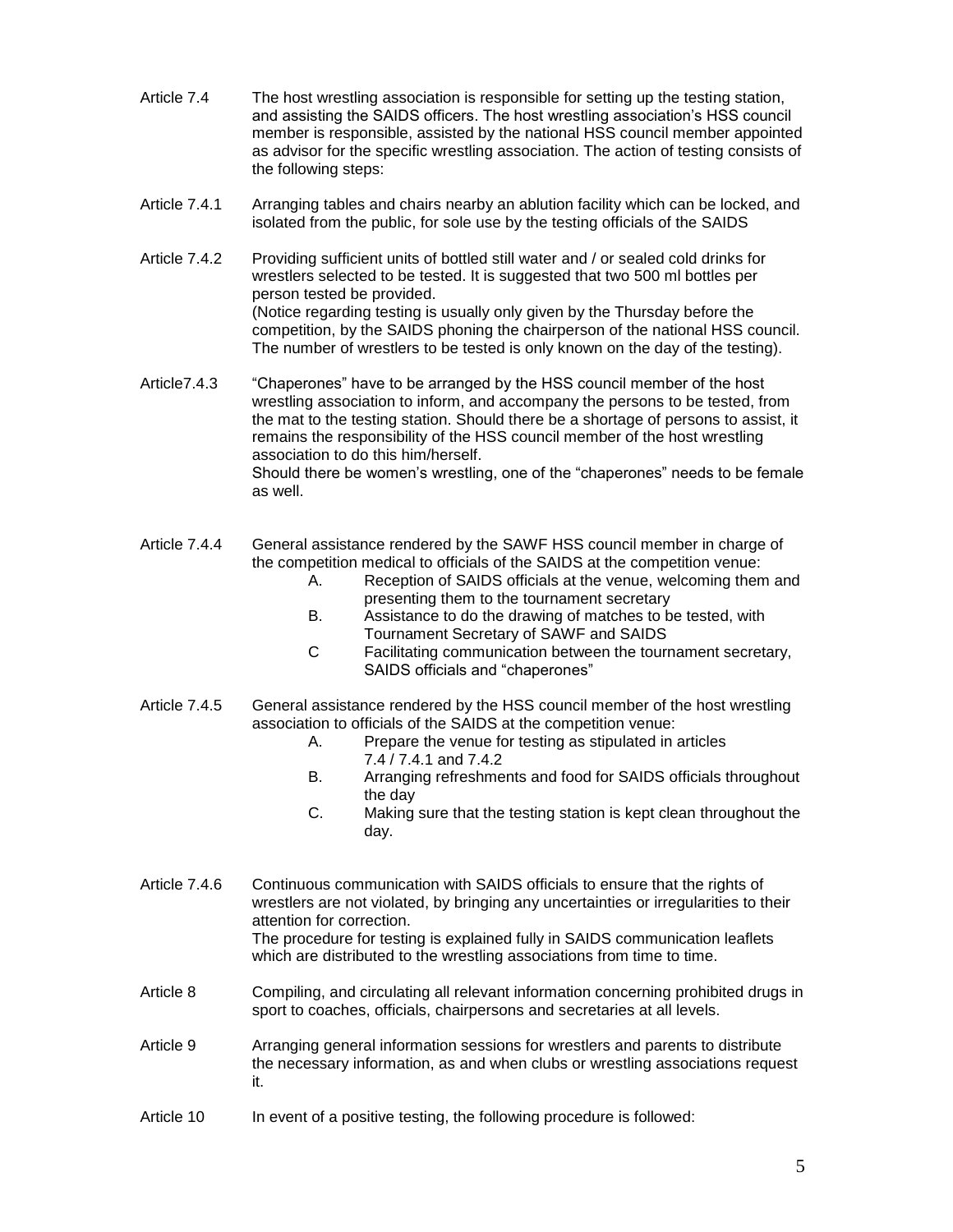- Article 7.4 The host wrestling association is responsible for setting up the testing station, and assisting the SAIDS officers. The host wrestling association's HSS council member is responsible, assisted by the national HSS council member appointed as advisor for the specific wrestling association. The action of testing consists of the following steps:
- Article 7.4.1 Arranging tables and chairs nearby an ablution facility which can be locked, and isolated from the public, for sole use by the testing officials of the SAIDS
- Article 7.4.2 Providing sufficient units of bottled still water and / or sealed cold drinks for wrestlers selected to be tested. It is suggested that two 500 ml bottles per person tested be provided. (Notice regarding testing is usually only given by the Thursday before the competition, by the SAIDS phoning the chairperson of the national HSS council. The number of wrestlers to be tested is only known on the day of the testing).
- Article7.4.3 "Chaperones" have to be arranged by the HSS council member of the host wrestling association to inform, and accompany the persons to be tested, from the mat to the testing station. Should there be a shortage of persons to assist, it remains the responsibility of the HSS council member of the host wrestling association to do this him/herself. Should there be women's wrestling, one of the "chaperones" needs to be female as well.
- Article 7.4.4 General assistance rendered by the SAWF HSS council member in charge of the competition medical to officials of the SAIDS at the competition venue:
	- A. Reception of SAIDS officials at the venue, welcoming them and presenting them to the tournament secretary
	- B. Assistance to do the drawing of matches to be tested, with Tournament Secretary of SAWF and SAIDS
	- C Facilitating communication between the tournament secretary, SAIDS officials and "chaperones"
- Article 7.4.5 General assistance rendered by the HSS council member of the host wrestling association to officials of the SAIDS at the competition venue:
	- A. Prepare the venue for testing as stipulated in articles 7.4 / 7.4.1 and 7.4.2
	- B. Arranging refreshments and food for SAIDS officials throughout the day
	- C. Making sure that the testing station is kept clean throughout the day.
- Article 7.4.6 Continuous communication with SAIDS officials to ensure that the rights of wrestlers are not violated, by bringing any uncertainties or irregularities to their attention for correction. The procedure for testing is explained fully in SAIDS communication leaflets which are distributed to the wrestling associations from time to time.
- Article 8 Compiling, and circulating all relevant information concerning prohibited drugs in sport to coaches, officials, chairpersons and secretaries at all levels.
- Article 9 Arranging general information sessions for wrestlers and parents to distribute the necessary information, as and when clubs or wrestling associations request it.
- Article 10 In event of a positive testing, the following procedure is followed: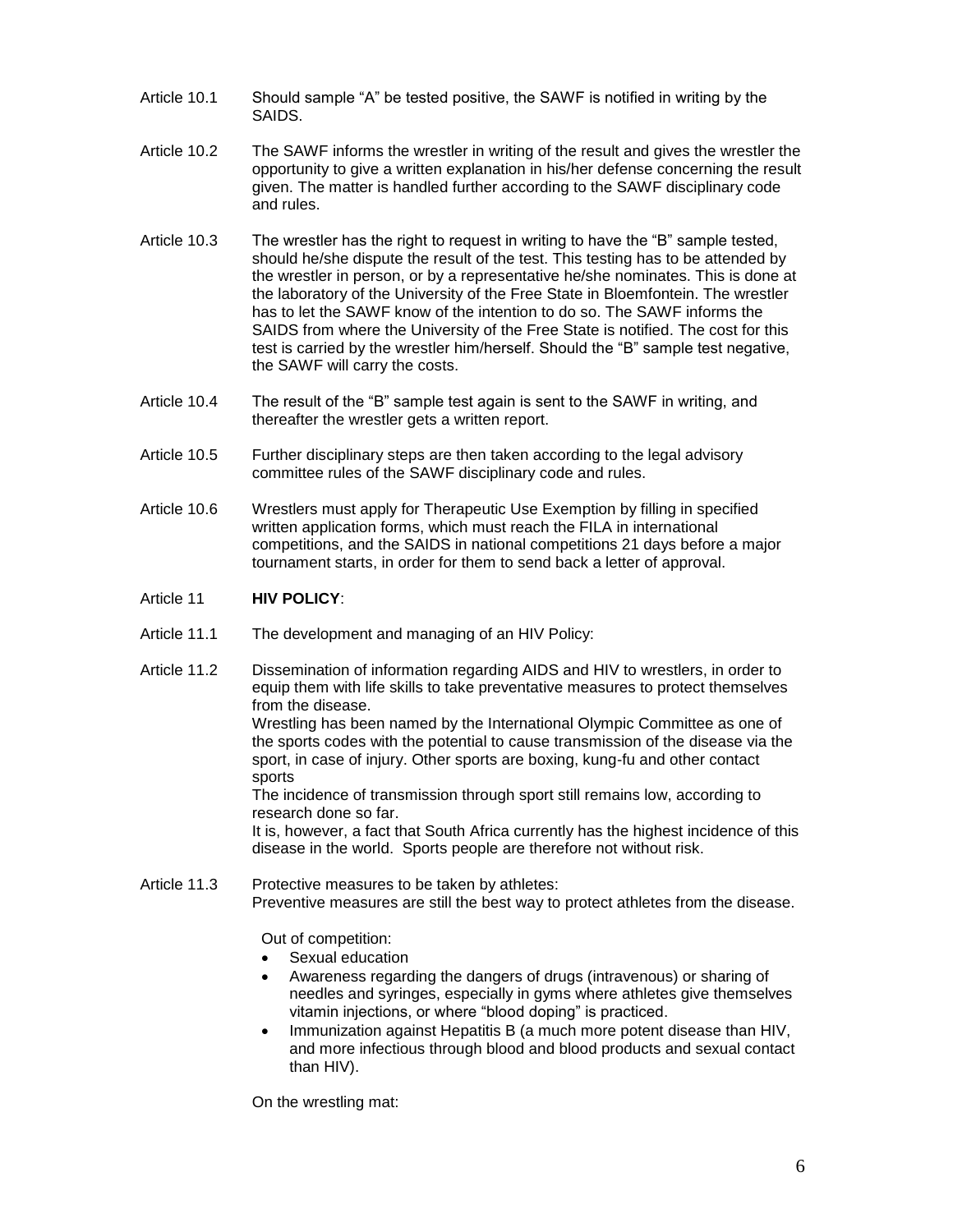- Article 10.1 Should sample "A" be tested positive, the SAWF is notified in writing by the SAIDS.
- Article 10.2 The SAWF informs the wrestler in writing of the result and gives the wrestler the opportunity to give a written explanation in his/her defense concerning the result given. The matter is handled further according to the SAWF disciplinary code and rules.
- Article 10.3 The wrestler has the right to request in writing to have the "B" sample tested, should he/she dispute the result of the test. This testing has to be attended by the wrestler in person, or by a representative he/she nominates. This is done at the laboratory of the University of the Free State in Bloemfontein. The wrestler has to let the SAWF know of the intention to do so. The SAWF informs the SAIDS from where the University of the Free State is notified. The cost for this test is carried by the wrestler him/herself. Should the "B" sample test negative, the SAWF will carry the costs.
- Article 10.4 The result of the "B" sample test again is sent to the SAWF in writing, and thereafter the wrestler gets a written report.
- Article 10.5 Further disciplinary steps are then taken according to the legal advisory committee rules of the SAWF disciplinary code and rules.
- Article 10.6 Wrestlers must apply for Therapeutic Use Exemption by filling in specified written application forms, which must reach the FILA in international competitions, and the SAIDS in national competitions 21 days before a major tournament starts, in order for them to send back a letter of approval.

### Article 11 **HIV POLICY**:

- Article 11.1 The development and managing of an HIV Policy:
- Article 11.2 Dissemination of information regarding AIDS and HIV to wrestlers, in order to equip them with life skills to take preventative measures to protect themselves from the disease. Wrestling has been named by the International Olympic Committee as one of the sports codes with the potential to cause transmission of the disease via the sport, in case of injury. Other sports are boxing, kung-fu and other contact sports The incidence of transmission through sport still remains low, according to research done so far. It is, however, a fact that South Africa currently has the highest incidence of this disease in the world. Sports people are therefore not without risk.
- Article 11.3 Protective measures to be taken by athletes: Preventive measures are still the best way to protect athletes from the disease.

Out of competition:

- Sexual education
- Awareness regarding the dangers of drugs (intravenous) or sharing of needles and syringes, especially in gyms where athletes give themselves vitamin injections, or where "blood doping" is practiced.
- Immunization against Hepatitis B (a much more potent disease than HIV, and more infectious through blood and blood products and sexual contact than HIV).

On the wrestling mat: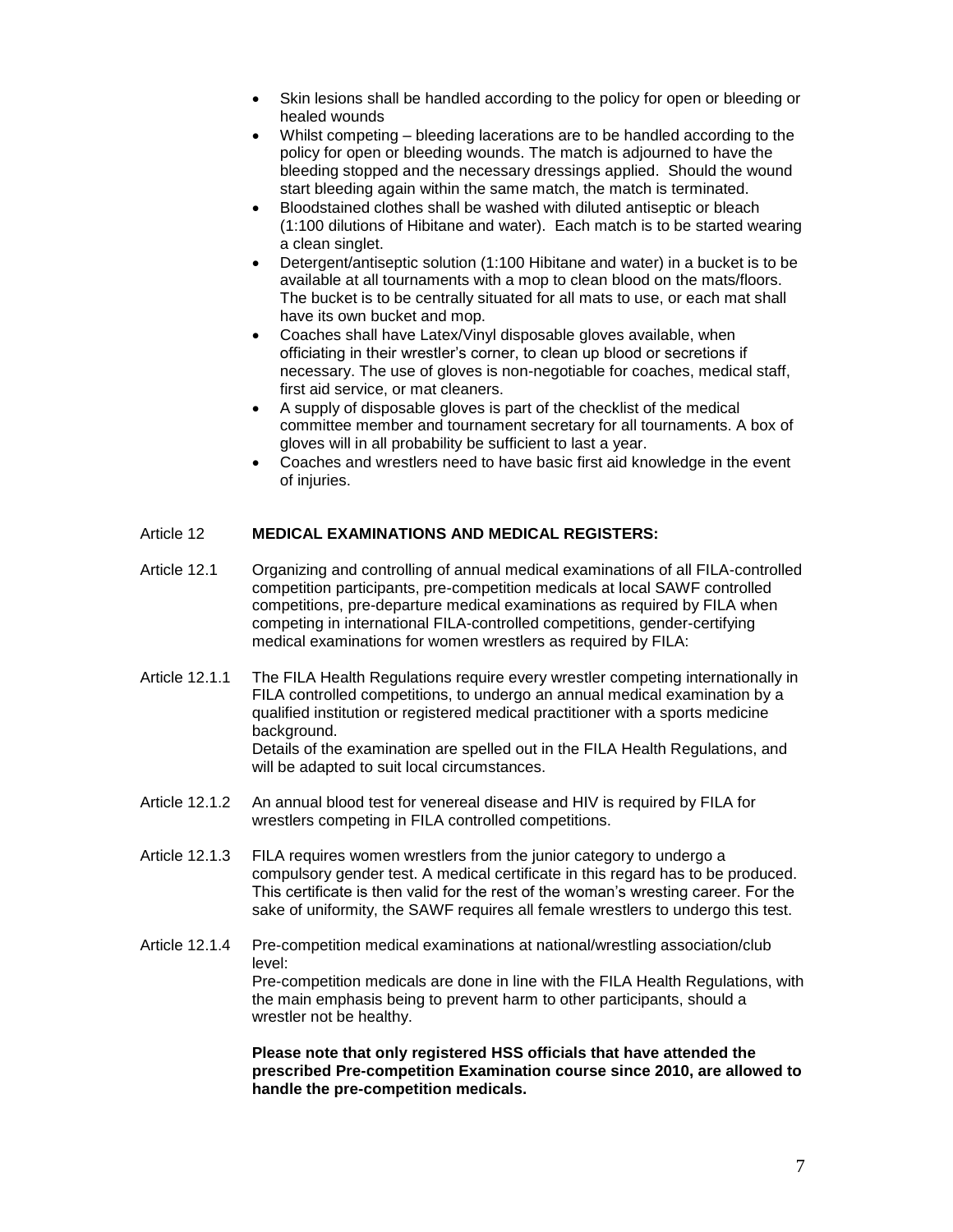- Skin lesions shall be handled according to the policy for open or bleeding or healed wounds
- Whilst competing bleeding lacerations are to be handled according to the policy for open or bleeding wounds. The match is adjourned to have the bleeding stopped and the necessary dressings applied. Should the wound start bleeding again within the same match, the match is terminated.
- Bloodstained clothes shall be washed with diluted antiseptic or bleach (1:100 dilutions of Hibitane and water). Each match is to be started wearing a clean singlet.
- Detergent/antiseptic solution (1:100 Hibitane and water) in a bucket is to be available at all tournaments with a mop to clean blood on the mats/floors. The bucket is to be centrally situated for all mats to use, or each mat shall have its own bucket and mop.
- Coaches shall have Latex/Vinyl disposable gloves available, when officiating in their wrestler's corner, to clean up blood or secretions if necessary. The use of gloves is non-negotiable for coaches, medical staff, first aid service, or mat cleaners.
- A supply of disposable gloves is part of the checklist of the medical committee member and tournament secretary for all tournaments. A box of gloves will in all probability be sufficient to last a year.
- Coaches and wrestlers need to have basic first aid knowledge in the event of injuries.

### Article 12 **MEDICAL EXAMINATIONS AND MEDICAL REGISTERS:**

- Article 12.1 Organizing and controlling of annual medical examinations of all FILA-controlled competition participants, pre-competition medicals at local SAWF controlled competitions, pre-departure medical examinations as required by FILA when competing in international FILA-controlled competitions, gender-certifying medical examinations for women wrestlers as required by FILA:
- Article 12.1.1 The FILA Health Regulations require every wrestler competing internationally in FILA controlled competitions, to undergo an annual medical examination by a qualified institution or registered medical practitioner with a sports medicine background. Details of the examination are spelled out in the FILA Health Regulations, and will be adapted to suit local circumstances.
- Article 12.1.2 An annual blood test for venereal disease and HIV is required by FILA for wrestlers competing in FILA controlled competitions.
- Article 12.1.3 FILA requires women wrestlers from the junior category to undergo a compulsory gender test. A medical certificate in this regard has to be produced. This certificate is then valid for the rest of the woman's wresting career. For the sake of uniformity, the SAWF requires all female wrestlers to undergo this test.
- Article 12.1.4 Pre-competition medical examinations at national/wrestling association/club level: Pre-competition medicals are done in line with the FILA Health Regulations, with the main emphasis being to prevent harm to other participants, should a wrestler not be healthy.

**Please note that only registered HSS officials that have attended the prescribed Pre-competition Examination course since 2010, are allowed to handle the pre-competition medicals.**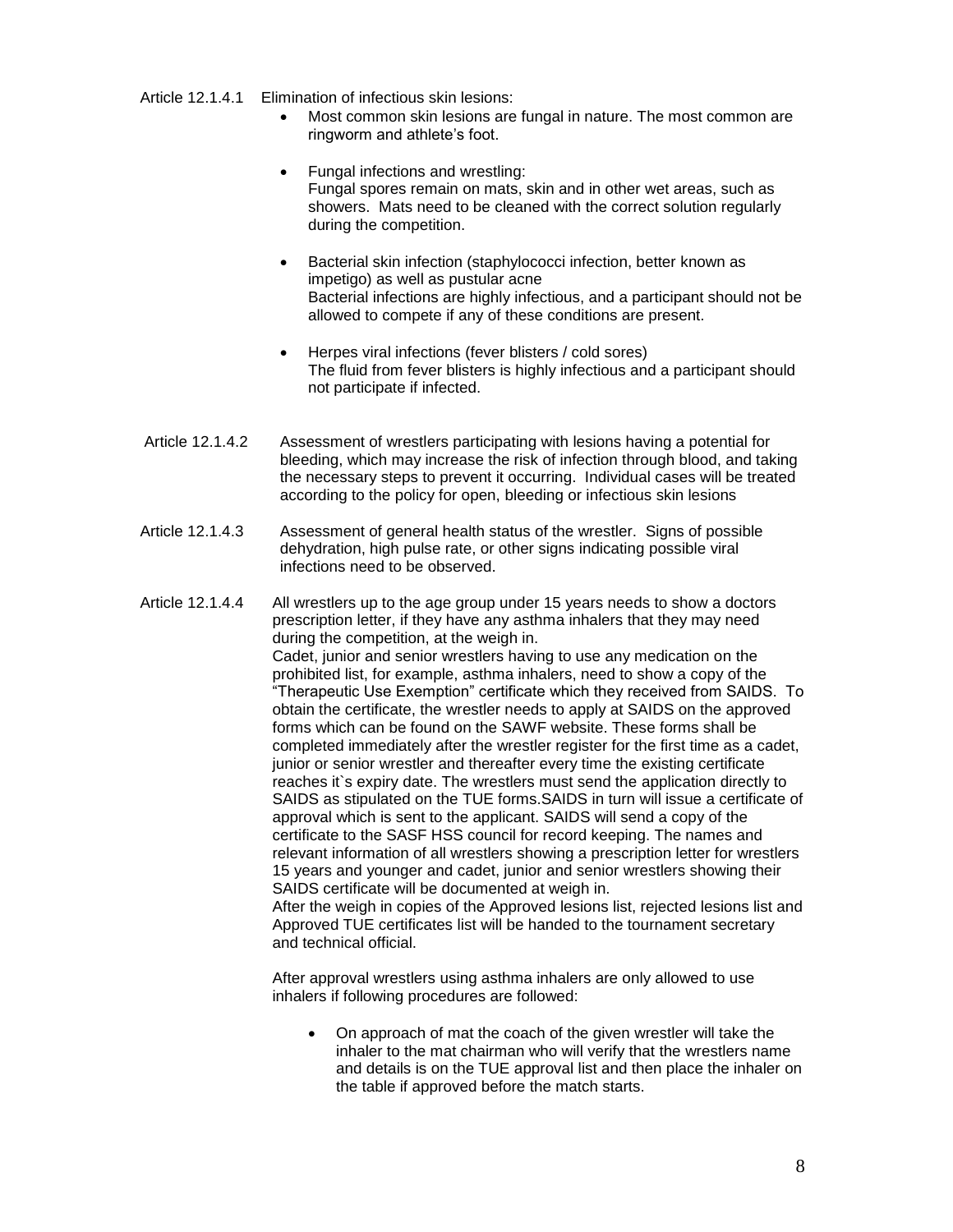Article 12.1.4.1 Elimination of infectious skin lesions:

- Most common skin lesions are fungal in nature. The most common are ringworm and athlete's foot.
- Fungal infections and wrestling: Fungal spores remain on mats, skin and in other wet areas, such as showers. Mats need to be cleaned with the correct solution regularly during the competition.
- Bacterial skin infection (staphylococci infection, better known as impetigo) as well as pustular acne Bacterial infections are highly infectious, and a participant should not be allowed to compete if any of these conditions are present.
- Herpes viral infections (fever blisters / cold sores) The fluid from fever blisters is highly infectious and a participant should not participate if infected.
- Article 12.1.4.2 Assessment of wrestlers participating with lesions having a potential for bleeding, which may increase the risk of infection through blood, and taking the necessary steps to prevent it occurring. Individual cases will be treated according to the policy for open, bleeding or infectious skin lesions
- Article 12.1.4.3 Assessment of general health status of the wrestler. Signs of possible dehydration, high pulse rate, or other signs indicating possible viral infections need to be observed.
- Article 12.1.4.4 All wrestlers up to the age group under 15 years needs to show a doctors prescription letter, if they have any asthma inhalers that they may need during the competition, at the weigh in. Cadet, junior and senior wrestlers having to use any medication on the prohibited list, for example, asthma inhalers, need to show a copy of the "Therapeutic Use Exemption" certificate which they received from SAIDS. To obtain the certificate, the wrestler needs to apply at SAIDS on the approved forms which can be found on the SAWF website. These forms shall be completed immediately after the wrestler register for the first time as a cadet, junior or senior wrestler and thereafter every time the existing certificate reaches it`s expiry date. The wrestlers must send the application directly to SAIDS as stipulated on the TUE forms.SAIDS in turn will issue a certificate of approval which is sent to the applicant. SAIDS will send a copy of the certificate to the SASF HSS council for record keeping. The names and relevant information of all wrestlers showing a prescription letter for wrestlers 15 years and younger and cadet, junior and senior wrestlers showing their SAIDS certificate will be documented at weigh in. After the weigh in copies of the Approved lesions list, rejected lesions list and Approved TUE certificates list will be handed to the tournament secretary and technical official.

After approval wrestlers using asthma inhalers are only allowed to use inhalers if following procedures are followed:

• On approach of mat the coach of the given wrestler will take the inhaler to the mat chairman who will verify that the wrestlers name and details is on the TUE approval list and then place the inhaler on the table if approved before the match starts.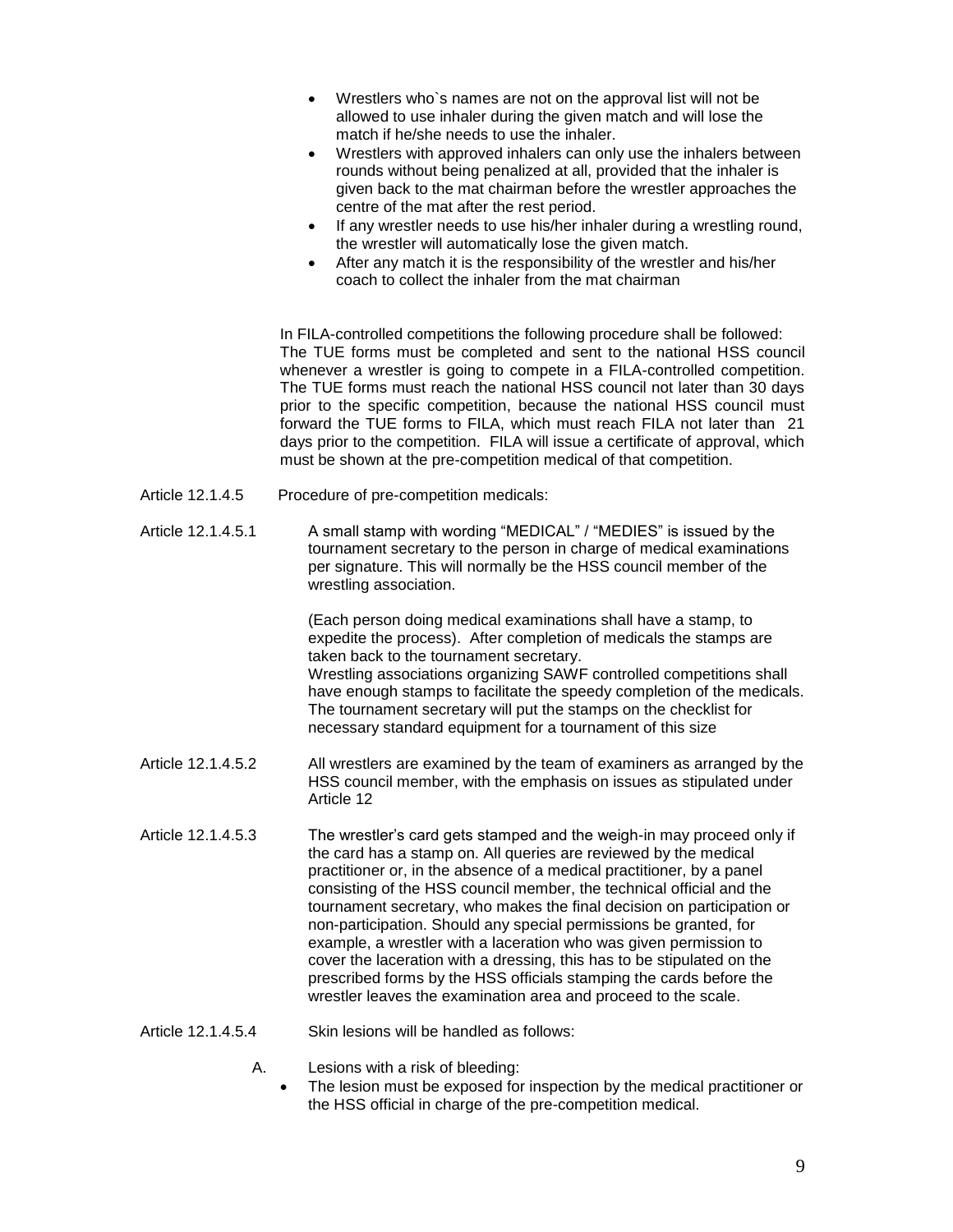- Wrestlers who`s names are not on the approval list will not be allowed to use inhaler during the given match and will lose the match if he/she needs to use the inhaler.
- Wrestlers with approved inhalers can only use the inhalers between rounds without being penalized at all, provided that the inhaler is given back to the mat chairman before the wrestler approaches the centre of the mat after the rest period.
- If any wrestler needs to use his/her inhaler during a wrestling round. the wrestler will automatically lose the given match.
- After any match it is the responsibility of the wrestler and his/her coach to collect the inhaler from the mat chairman

In FILA-controlled competitions the following procedure shall be followed: The TUE forms must be completed and sent to the national HSS council whenever a wrestler is going to compete in a FILA-controlled competition. The TUE forms must reach the national HSS council not later than 30 days prior to the specific competition, because the national HSS council must forward the TUE forms to FILA, which must reach FILA not later than 21 days prior to the competition. FILA will issue a certificate of approval, which must be shown at the pre-competition medical of that competition.

- Article 12.1.4.5 Procedure of pre-competition medicals:
- Article 12.1.4.5.1 A small stamp with wording "MEDICAL" / "MEDIES" is issued by the tournament secretary to the person in charge of medical examinations per signature. This will normally be the HSS council member of the wrestling association.

(Each person doing medical examinations shall have a stamp, to expedite the process). After completion of medicals the stamps are taken back to the tournament secretary. Wrestling associations organizing SAWF controlled competitions shall have enough stamps to facilitate the speedy completion of the medicals. The tournament secretary will put the stamps on the checklist for necessary standard equipment for a tournament of this size

- Article 12.1.4.5.2 All wrestlers are examined by the team of examiners as arranged by the HSS council member, with the emphasis on issues as stipulated under Article 12
- Article 12.1.4.5.3 The wrestler's card gets stamped and the weigh-in may proceed only if the card has a stamp on. All queries are reviewed by the medical practitioner or, in the absence of a medical practitioner, by a panel consisting of the HSS council member, the technical official and the tournament secretary, who makes the final decision on participation or non-participation. Should any special permissions be granted, for example, a wrestler with a laceration who was given permission to cover the laceration with a dressing, this has to be stipulated on the prescribed forms by the HSS officials stamping the cards before the wrestler leaves the examination area and proceed to the scale.
- Article 12.1.4.5.4 Skin lesions will be handled as follows:
	- A. Lesions with a risk of bleeding:
		- The lesion must be exposed for inspection by the medical practitioner or the HSS official in charge of the pre-competition medical.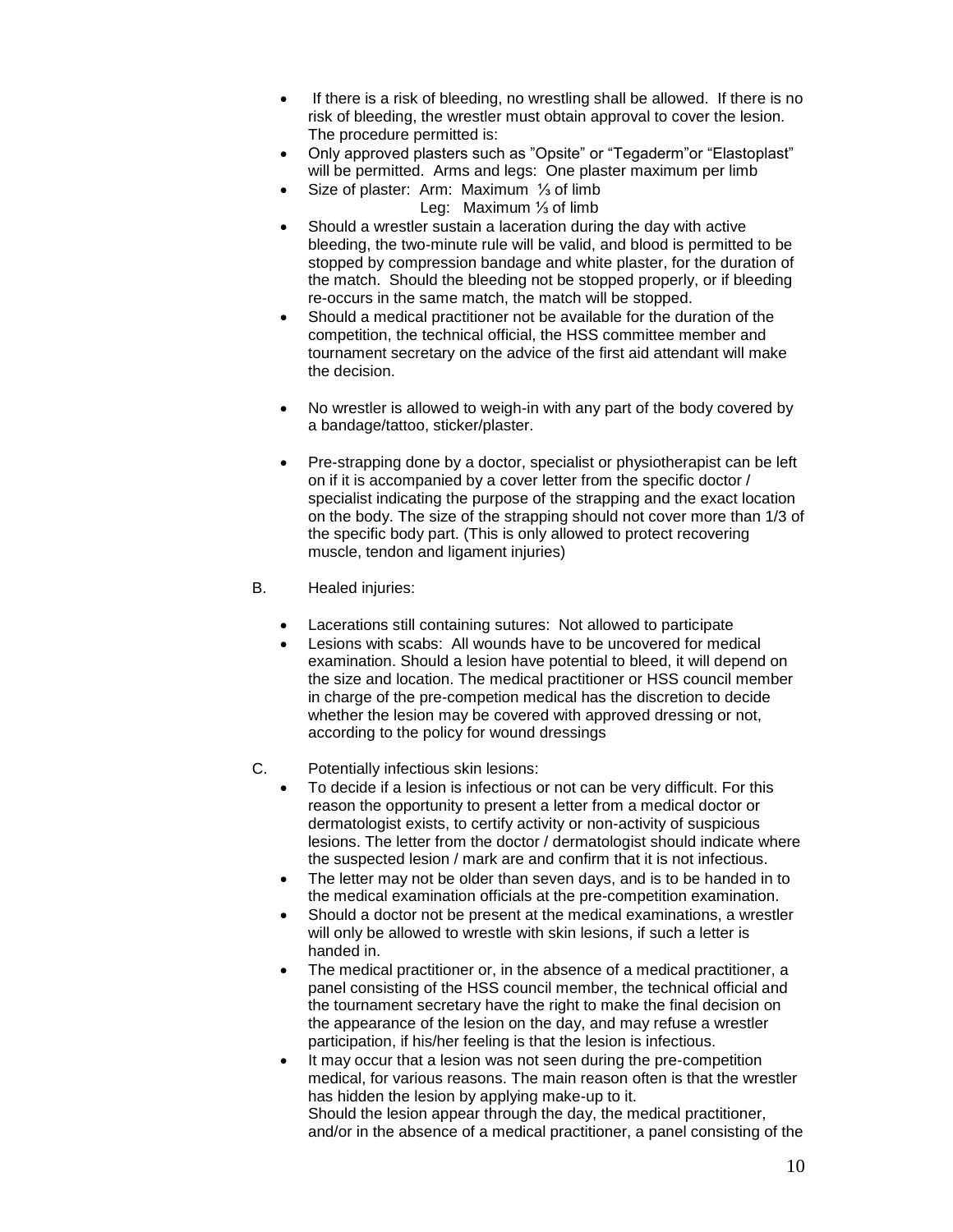- If there is a risk of bleeding, no wrestling shall be allowed. If there is no risk of bleeding, the wrestler must obtain approval to cover the lesion. The procedure permitted is:
- Only approved plasters such as "Opsite" or "Tegaderm"or "Elastoplast" will be permitted. Arms and legs: One plaster maximum per limb
- Size of plaster: Arm: Maximum ⅓ of limb
	- Leg: Maximum ⅓ of limb
- Should a wrestler sustain a laceration during the day with active bleeding, the two-minute rule will be valid, and blood is permitted to be stopped by compression bandage and white plaster, for the duration of the match. Should the bleeding not be stopped properly, or if bleeding re-occurs in the same match, the match will be stopped.
- Should a medical practitioner not be available for the duration of the competition, the technical official, the HSS committee member and tournament secretary on the advice of the first aid attendant will make the decision.
- No wrestler is allowed to weigh-in with any part of the body covered by a bandage/tattoo, sticker/plaster.
- Pre-strapping done by a doctor, specialist or physiotherapist can be left on if it is accompanied by a cover letter from the specific doctor / specialist indicating the purpose of the strapping and the exact location on the body. The size of the strapping should not cover more than 1/3 of the specific body part. (This is only allowed to protect recovering muscle, tendon and ligament injuries)
- B. Healed injuries:
	- Lacerations still containing sutures: Not allowed to participate
	- Lesions with scabs: All wounds have to be uncovered for medical examination. Should a lesion have potential to bleed, it will depend on the size and location. The medical practitioner or HSS council member in charge of the pre-competion medical has the discretion to decide whether the lesion may be covered with approved dressing or not, according to the policy for wound dressings
- C. Potentially infectious skin lesions:
	- To decide if a lesion is infectious or not can be very difficult. For this reason the opportunity to present a letter from a medical doctor or dermatologist exists, to certify activity or non-activity of suspicious lesions. The letter from the doctor / dermatologist should indicate where the suspected lesion / mark are and confirm that it is not infectious.
	- The letter may not be older than seven days, and is to be handed in to the medical examination officials at the pre-competition examination.
	- Should a doctor not be present at the medical examinations, a wrestler will only be allowed to wrestle with skin lesions, if such a letter is handed in.
	- The medical practitioner or, in the absence of a medical practitioner, a panel consisting of the HSS council member, the technical official and the tournament secretary have the right to make the final decision on the appearance of the lesion on the day, and may refuse a wrestler participation, if his/her feeling is that the lesion is infectious.
	- It may occur that a lesion was not seen during the pre-competition medical, for various reasons. The main reason often is that the wrestler has hidden the lesion by applying make-up to it. Should the lesion appear through the day, the medical practitioner, and/or in the absence of a medical practitioner, a panel consisting of the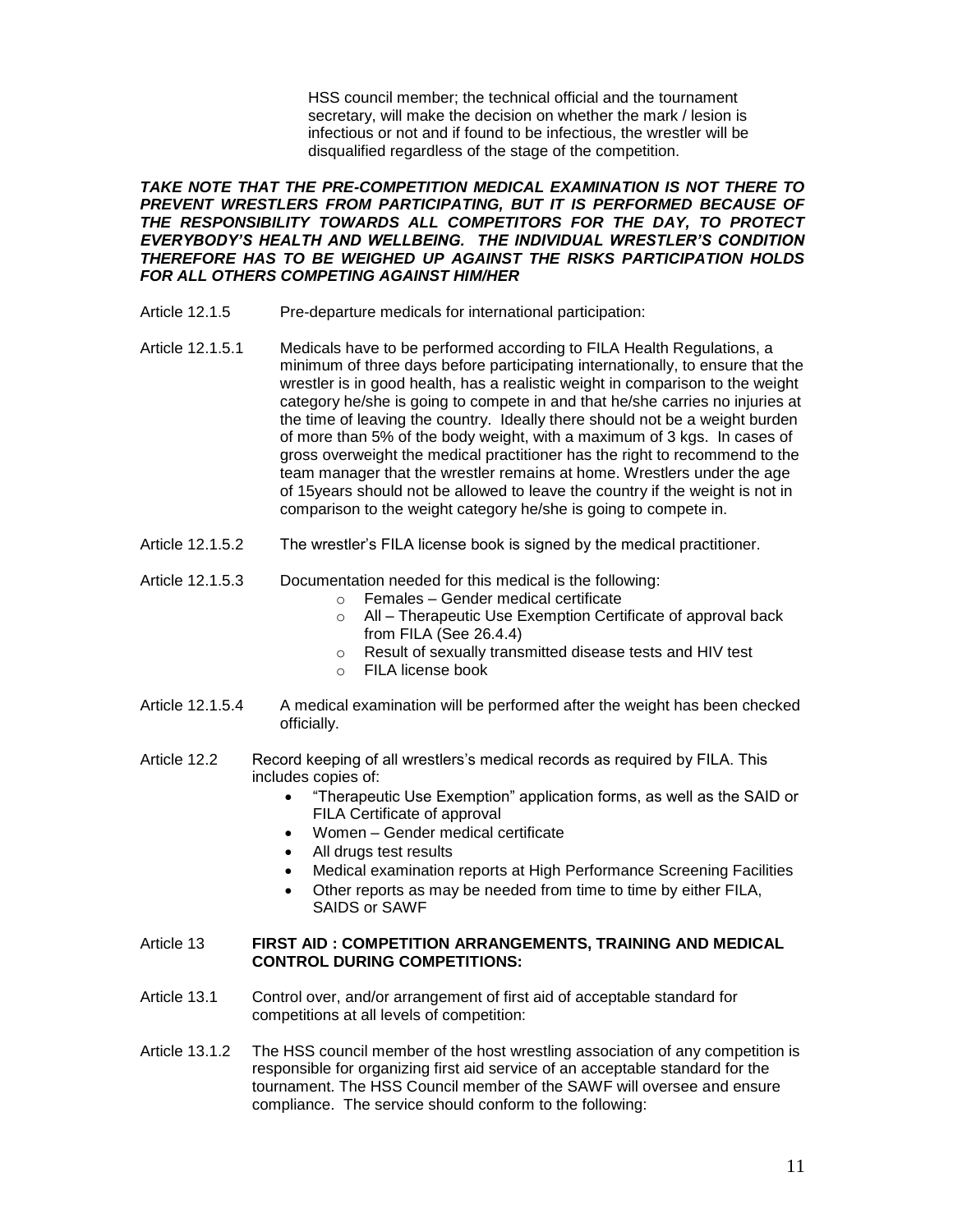HSS council member; the technical official and the tournament secretary, will make the decision on whether the mark / lesion is infectious or not and if found to be infectious, the wrestler will be disqualified regardless of the stage of the competition.

*TAKE NOTE THAT THE PRE-COMPETITION MEDICAL EXAMINATION IS NOT THERE TO PREVENT WRESTLERS FROM PARTICIPATING, BUT IT IS PERFORMED BECAUSE OF THE RESPONSIBILITY TOWARDS ALL COMPETITORS FOR THE DAY, TO PROTECT EVERYBODY'S HEALTH AND WELLBEING. THE INDIVIDUAL WRESTLER'S CONDITION THEREFORE HAS TO BE WEIGHED UP AGAINST THE RISKS PARTICIPATION HOLDS FOR ALL OTHERS COMPETING AGAINST HIM/HER*

- Article 12.1.5 Pre-departure medicals for international participation:
- Article 12.1.5.1 Medicals have to be performed according to FILA Health Regulations, a minimum of three days before participating internationally, to ensure that the wrestler is in good health, has a realistic weight in comparison to the weight category he/she is going to compete in and that he/she carries no injuries at the time of leaving the country. Ideally there should not be a weight burden of more than 5% of the body weight, with a maximum of 3 kgs. In cases of gross overweight the medical practitioner has the right to recommend to the team manager that the wrestler remains at home. Wrestlers under the age of 15years should not be allowed to leave the country if the weight is not in comparison to the weight category he/she is going to compete in.
- Article 12.1.5.2 The wrestler's FILA license book is signed by the medical practitioner.
- Article 12.1.5.3 Documentation needed for this medical is the following:
	- o Females Gender medical certificate
	- o All Therapeutic Use Exemption Certificate of approval back from FILA (See 26.4.4)
	- o Result of sexually transmitted disease tests and HIV test
	- o FILA license book
- Article 12.1.5.4 A medical examination will be performed after the weight has been checked officially.
- Article 12.2 Record keeping of all wrestlers's medical records as required by FILA. This includes copies of:
	- "Therapeutic Use Exemption" application forms, as well as the SAID or FILA Certificate of approval
	- Women Gender medical certificate
	- All drugs test results
	- Medical examination reports at High Performance Screening Facilities
	- Other reports as may be needed from time to time by either FILA, SAIDS or SAWF

### Article 13 **FIRST AID : COMPETITION ARRANGEMENTS, TRAINING AND MEDICAL CONTROL DURING COMPETITIONS:**

- Article 13.1 Control over, and/or arrangement of first aid of acceptable standard for competitions at all levels of competition:
- Article 13.1.2 The HSS council member of the host wrestling association of any competition is responsible for organizing first aid service of an acceptable standard for the tournament. The HSS Council member of the SAWF will oversee and ensure compliance. The service should conform to the following: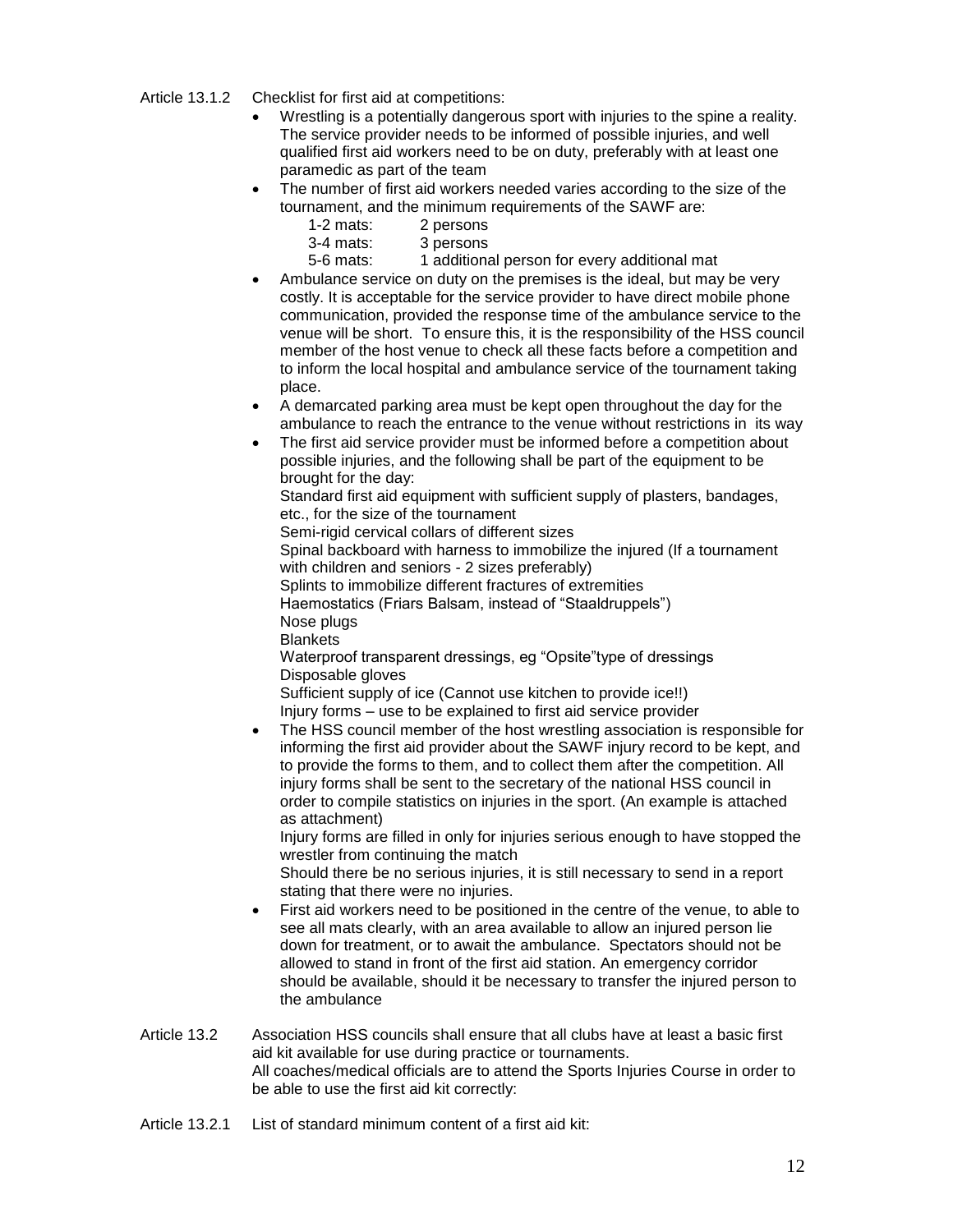Article 13.1.2 Checklist for first aid at competitions:

- Wrestling is a potentially dangerous sport with injuries to the spine a reality. The service provider needs to be informed of possible injuries, and well qualified first aid workers need to be on duty, preferably with at least one paramedic as part of the team
- The number of first aid workers needed varies according to the size of the tournament, and the minimum requirements of the SAWF are:
	- 1-2 mats: 2 persons
	- 3-4 mats: 3 persons
	- 5-6 mats: 1 additional person for every additional mat
- Ambulance service on duty on the premises is the ideal, but may be very costly. It is acceptable for the service provider to have direct mobile phone communication, provided the response time of the ambulance service to the venue will be short. To ensure this, it is the responsibility of the HSS council member of the host venue to check all these facts before a competition and to inform the local hospital and ambulance service of the tournament taking place.
- A demarcated parking area must be kept open throughout the day for the ambulance to reach the entrance to the venue without restrictions in its way
- The first aid service provider must be informed before a competition about possible injuries, and the following shall be part of the equipment to be brought for the day:

Standard first aid equipment with sufficient supply of plasters, bandages, etc., for the size of the tournament

Semi-rigid cervical collars of different sizes

Spinal backboard with harness to immobilize the injured (If a tournament with children and seniors - 2 sizes preferably)

Splints to immobilize different fractures of extremities

Haemostatics (Friars Balsam, instead of "Staaldruppels")

Nose plugs

**Blankets** 

Waterproof transparent dressings, eg "Opsite"type of dressings Disposable gloves

Sufficient supply of ice (Cannot use kitchen to provide ice!!) Injury forms – use to be explained to first aid service provider

• The HSS council member of the host wrestling association is responsible for informing the first aid provider about the SAWF injury record to be kept, and to provide the forms to them, and to collect them after the competition. All injury forms shall be sent to the secretary of the national HSS council in order to compile statistics on injuries in the sport. (An example is attached as attachment)

Injury forms are filled in only for injuries serious enough to have stopped the wrestler from continuing the match

Should there be no serious injuries, it is still necessary to send in a report stating that there were no injuries.

- First aid workers need to be positioned in the centre of the venue, to able to see all mats clearly, with an area available to allow an injured person lie down for treatment, or to await the ambulance. Spectators should not be allowed to stand in front of the first aid station. An emergency corridor should be available, should it be necessary to transfer the injured person to the ambulance
- Article 13.2 Association HSS councils shall ensure that all clubs have at least a basic first aid kit available for use during practice or tournaments. All coaches/medical officials are to attend the Sports Injuries Course in order to be able to use the first aid kit correctly:
- Article 13.2.1 List of standard minimum content of a first aid kit: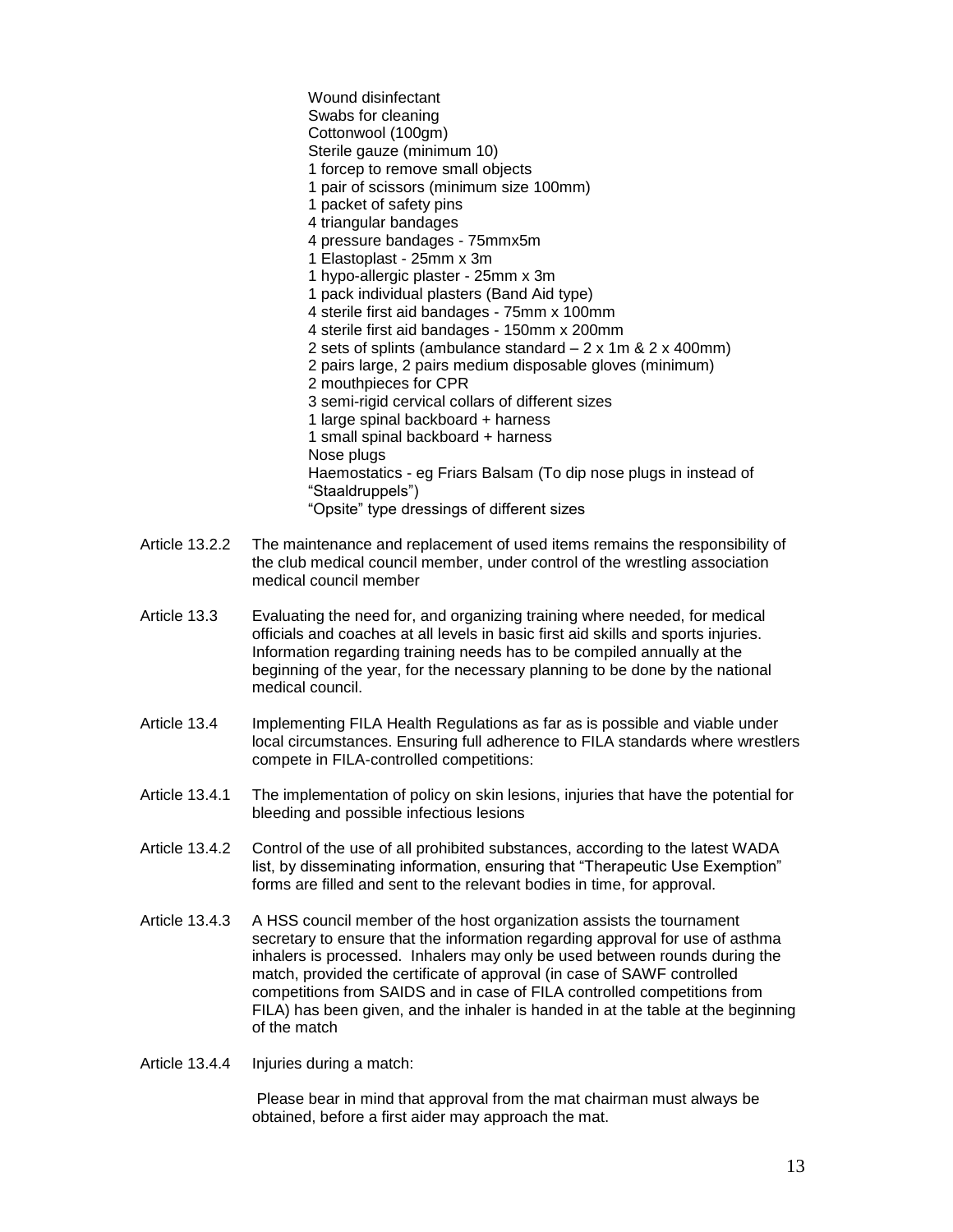Wound disinfectant Swabs for cleaning Cottonwool (100gm) Sterile gauze (minimum 10) 1 forcep to remove small objects 1 pair of scissors (minimum size 100mm) 1 packet of safety pins 4 triangular bandages 4 pressure bandages - 75mmx5m 1 Elastoplast - 25mm x 3m 1 hypo-allergic plaster - 25mm x 3m 1 pack individual plasters (Band Aid type) 4 sterile first aid bandages - 75mm x 100mm 4 sterile first aid bandages - 150mm x 200mm 2 sets of splints (ambulance standard – 2 x 1m & 2 x 400mm) 2 pairs large, 2 pairs medium disposable gloves (minimum) 2 mouthpieces for CPR 3 semi-rigid cervical collars of different sizes 1 large spinal backboard + harness 1 small spinal backboard + harness Nose plugs Haemostatics - eg Friars Balsam (To dip nose plugs in instead of "Staaldruppels") "Opsite" type dressings of different sizes

- Article 13.2.2 The maintenance and replacement of used items remains the responsibility of the club medical council member, under control of the wrestling association medical council member
- Article 13.3 Evaluating the need for, and organizing training where needed, for medical officials and coaches at all levels in basic first aid skills and sports injuries. Information regarding training needs has to be compiled annually at the beginning of the year, for the necessary planning to be done by the national medical council.
- Article 13.4 Implementing FILA Health Regulations as far as is possible and viable under local circumstances. Ensuring full adherence to FILA standards where wrestlers compete in FILA-controlled competitions:
- Article 13.4.1 The implementation of policy on skin lesions, injuries that have the potential for bleeding and possible infectious lesions
- Article 13.4.2 Control of the use of all prohibited substances, according to the latest WADA list, by disseminating information, ensuring that "Therapeutic Use Exemption" forms are filled and sent to the relevant bodies in time, for approval.
- Article 13.4.3 A HSS council member of the host organization assists the tournament secretary to ensure that the information regarding approval for use of asthma inhalers is processed. Inhalers may only be used between rounds during the match, provided the certificate of approval (in case of SAWF controlled competitions from SAIDS and in case of FILA controlled competitions from FILA) has been given, and the inhaler is handed in at the table at the beginning of the match
- Article 13.4.4 Injuries during a match:

 Please bear in mind that approval from the mat chairman must always be obtained, before a first aider may approach the mat.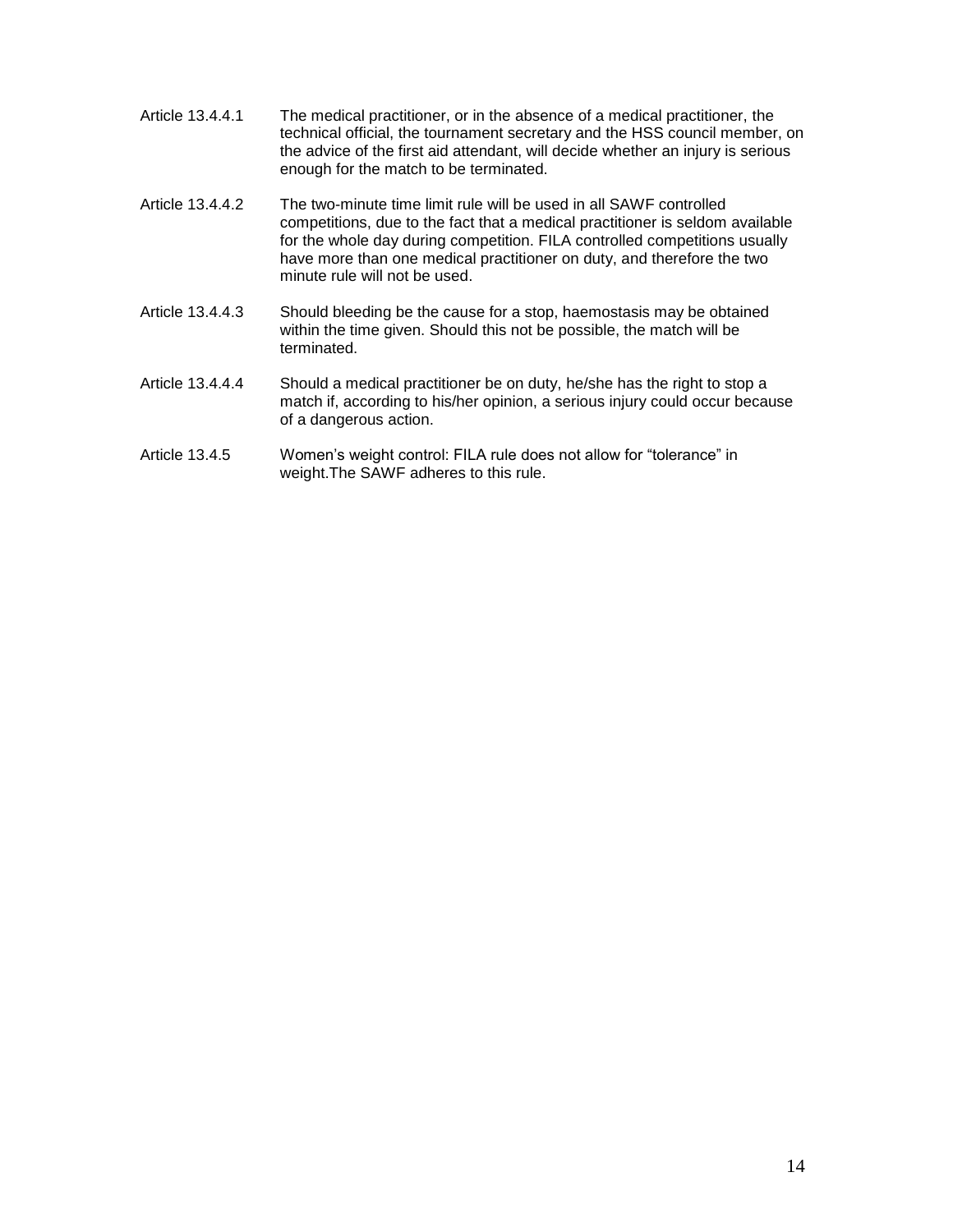| Article 13.4.4.1 | The medical practitioner, or in the absence of a medical practitioner, the      |
|------------------|---------------------------------------------------------------------------------|
|                  | technical official, the tournament secretary and the HSS council member, on     |
|                  | the advice of the first aid attendant, will decide whether an injury is serious |
|                  | enough for the match to be terminated.                                          |

- Article 13.4.4.2 The two-minute time limit rule will be used in all SAWF controlled competitions, due to the fact that a medical practitioner is seldom available for the whole day during competition. FILA controlled competitions usually have more than one medical practitioner on duty, and therefore the two minute rule will not be used.
- Article 13.4.4.3 Should bleeding be the cause for a stop, haemostasis may be obtained within the time given. Should this not be possible, the match will be terminated.
- Article 13.4.4.4 Should a medical practitioner be on duty, he/she has the right to stop a match if, according to his/her opinion, a serious injury could occur because of a dangerous action.
- Article 13.4.5 Women's weight control: FILA rule does not allow for "tolerance" in weight.The SAWF adheres to this rule.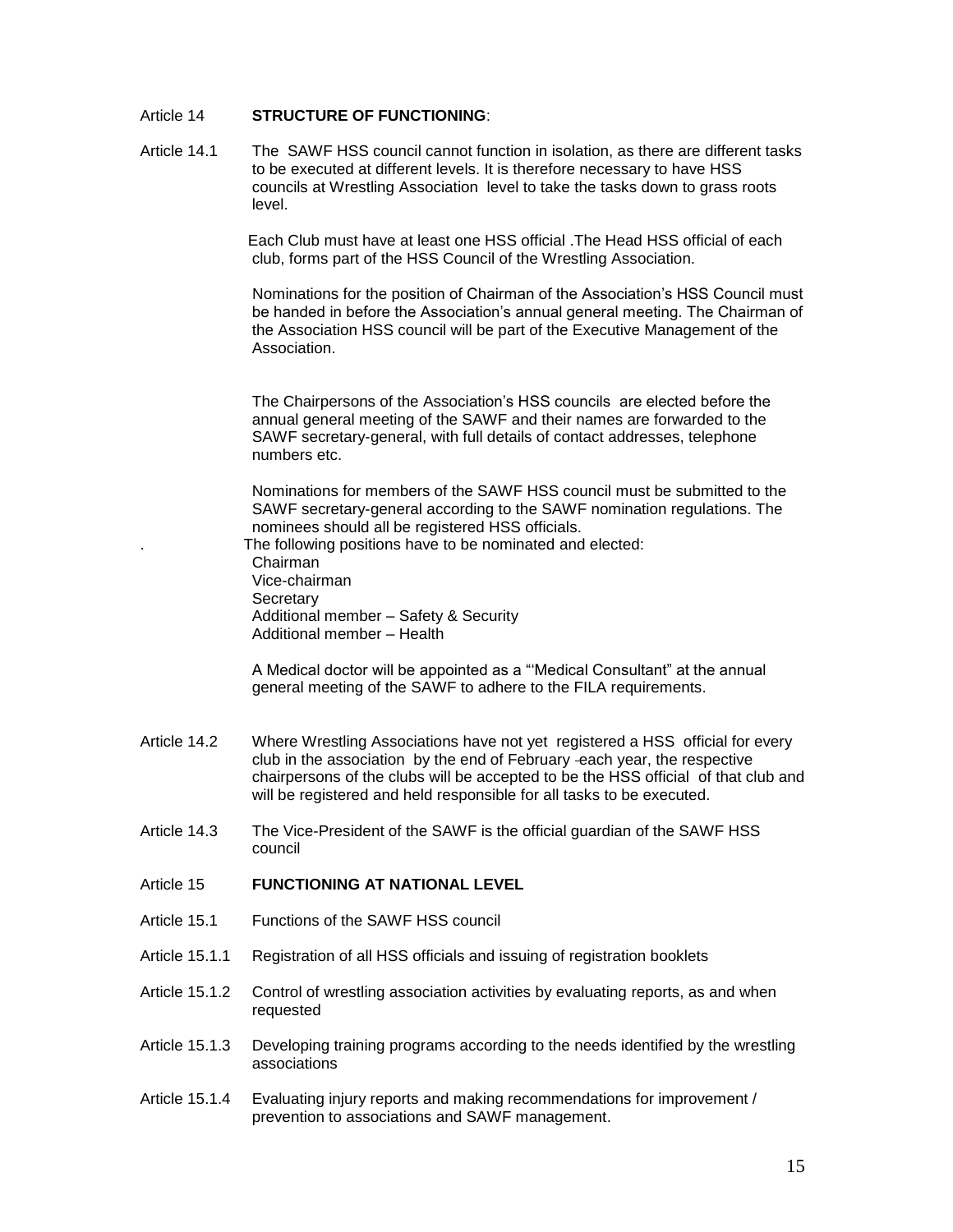#### Article 14 **STRUCTURE OF FUNCTIONING**:

Article 14.1 The SAWF HSS council cannot function in isolation, as there are different tasks to be executed at different levels. It is therefore necessary to have HSS councils at Wrestling Association level to take the tasks down to grass roots level.

> Each Club must have at least one HSS official .The Head HSS official of each club, forms part of the HSS Council of the Wrestling Association.

 Nominations for the position of Chairman of the Association's HSS Council must be handed in before the Association's annual general meeting. The Chairman of the Association HSS council will be part of the Executive Management of the Association.

The Chairpersons of the Association's HSS councils are elected before the annual general meeting of the SAWF and their names are forwarded to the SAWF secretary-general, with full details of contact addresses, telephone numbers etc.

Nominations for members of the SAWF HSS council must be submitted to the SAWF secretary-general according to the SAWF nomination regulations. The nominees should all be registered HSS officials.

. The following positions have to be nominated and elected:

Chairman Vice-chairman **Secretary** Additional member – Safety & Security Additional member – Health

A Medical doctor will be appointed as a "'Medical Consultant" at the annual general meeting of the SAWF to adhere to the FILA requirements.

- Article 14.2 Where Wrestling Associations have not yet registered a HSS official for every club in the association by the end of February each year, the respective chairpersons of the clubs will be accepted to be the HSS official of that club and will be registered and held responsible for all tasks to be executed.
- Article 14.3 The Vice-President of the SAWF is the official guardian of the SAWF HSS council
- Article 15 **FUNCTIONING AT NATIONAL LEVEL**
- Article 15.1 Functions of the SAWF HSS council
- Article 15.1.1 Registration of all HSS officials and issuing of registration booklets
- Article 15.1.2 Control of wrestling association activities by evaluating reports, as and when requested
- Article 15.1.3 Developing training programs according to the needs identified by the wrestling associations
- Article 15.1.4 Evaluating injury reports and making recommendations for improvement / prevention to associations and SAWF management.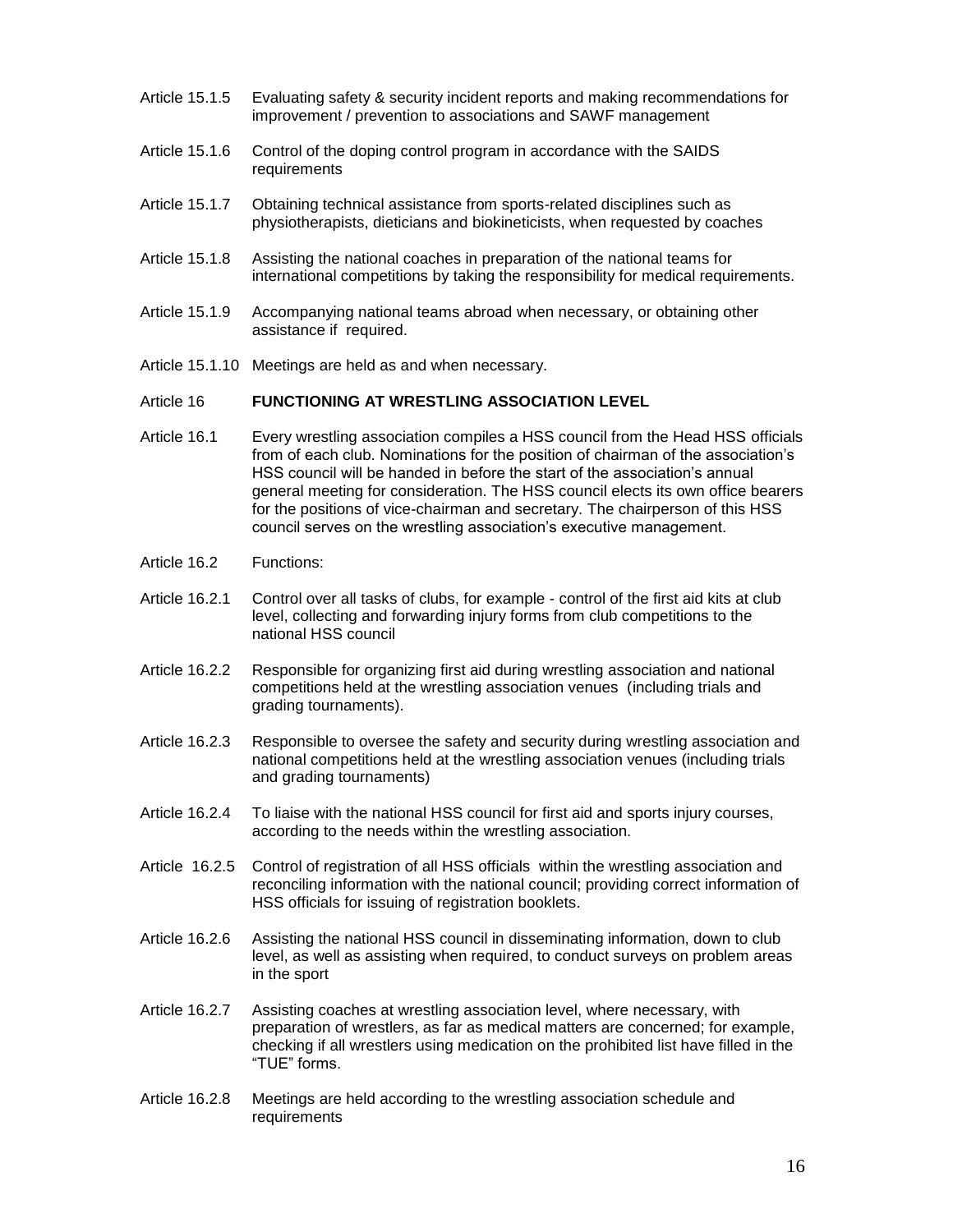- Article 15.1.5 Evaluating safety & security incident reports and making recommendations for improvement / prevention to associations and SAWF management
- Article 15.1.6 Control of the doping control program in accordance with the SAIDS requirements
- Article 15.1.7 Obtaining technical assistance from sports-related disciplines such as physiotherapists, dieticians and biokineticists, when requested by coaches
- Article 15.1.8 Assisting the national coaches in preparation of the national teams for international competitions by taking the responsibility for medical requirements.
- Article 15.1.9 Accompanying national teams abroad when necessary, or obtaining other assistance if required.
- Article 15.1.10 Meetings are held as and when necessary.

### Article 16 **FUNCTIONING AT WRESTLING ASSOCIATION LEVEL**

- Article 16.1 Every wrestling association compiles a HSS council from the Head HSS officials from of each club. Nominations for the position of chairman of the association's HSS council will be handed in before the start of the association's annual general meeting for consideration. The HSS council elects its own office bearers for the positions of vice-chairman and secretary. The chairperson of this HSS council serves on the wrestling association's executive management.
- Article 16.2 Functions:
- Article 16.2.1 Control over all tasks of clubs, for example control of the first aid kits at club level, collecting and forwarding injury forms from club competitions to the national HSS council
- Article 16.2.2 Responsible for organizing first aid during wrestling association and national competitions held at the wrestling association venues (including trials and grading tournaments).
- Article 16.2.3 Responsible to oversee the safety and security during wrestling association and national competitions held at the wrestling association venues (including trials and grading tournaments)
- Article 16.2.4 To liaise with the national HSS council for first aid and sports injury courses, according to the needs within the wrestling association.
- Article 16.2.5 Control of registration of all HSS officials within the wrestling association and reconciling information with the national council; providing correct information of HSS officials for issuing of registration booklets.
- Article 16.2.6 Assisting the national HSS council in disseminating information, down to club level, as well as assisting when required, to conduct surveys on problem areas in the sport
- Article 16.2.7 Assisting coaches at wrestling association level, where necessary, with preparation of wrestlers, as far as medical matters are concerned; for example, checking if all wrestlers using medication on the prohibited list have filled in the "TUE" forms.
- Article 16.2.8 Meetings are held according to the wrestling association schedule and requirements